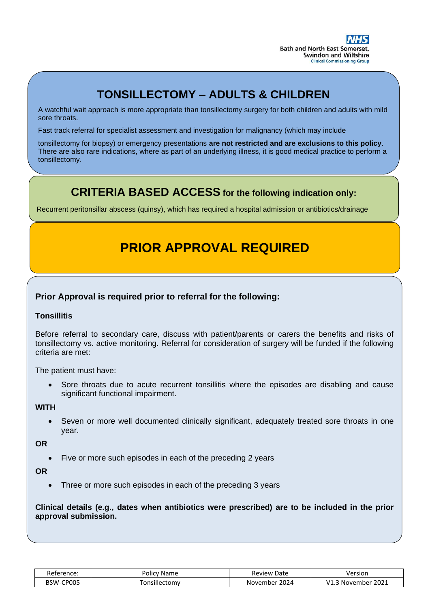# **TONSILLECTOMY – ADULTS & CHILDREN**

L

A watchful wait approach is more appropriate than tonsillectomy surgery for both children and adults with mild sore throats.

Fast track referral for specialist assessment and investigation for malignancy (which may include

tonsillectomy for biopsy) or emergency presentations **are not restricted and are exclusions to this policy**. There are also rare indications, where as part of an underlying illness, it is good medical practice to perform a tonsillectomy.

## **CRITERIA BASED ACCESS for the following indication only:**

Recurrent peritonsillar abscess (quinsy), which has required a hospital admission or antibiotics/drainage

# **PRIOR APPROVAL REQUIRED**

### **Prior Approval is required prior to referral for the following:**

#### **Tonsillitis**

Before referral to secondary care, discuss with patient/parents or carers the benefits and risks of tonsillectomy vs. active monitoring. Referral for consideration of surgery will be funded if the following criteria are met:

The patient must have:

• Sore throats due to acute recurrent tonsillitis where the episodes are disabling and cause significant functional impairment.

**WITH** 

• Seven or more well documented clinically significant, adequately treated sore throats in one year.

**OR**

Five or more such episodes in each of the preceding 2 years

**OR** 

Three or more such episodes in each of the preceding 3 years

**Clinical details (e.g., dates when antibiotics were prescribed) are to be included in the prior approval submission.**

| Reference:            | Policv                    | Review           | Version                                               |
|-----------------------|---------------------------|------------------|-------------------------------------------------------|
| n.                    | Name                      | Date             |                                                       |
| CP005<br><b>BSW-0</b> | <sup>-</sup> onsillectomv | 2024<br>November | $\cdot$ 2021<br>$\overline{14}$<br>. November<br>м1.г |